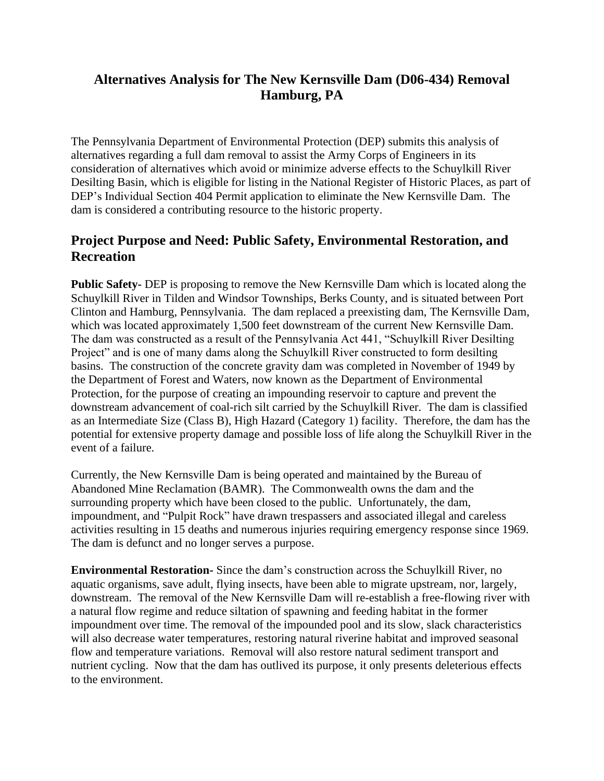# **Alternatives Analysis for The New Kernsville Dam (D06-434) Removal Hamburg, PA**

The Pennsylvania Department of Environmental Protection (DEP) submits this analysis of alternatives regarding a full dam removal to assist the Army Corps of Engineers in its consideration of alternatives which avoid or minimize adverse effects to the Schuylkill River Desilting Basin, which is eligible for listing in the National Register of Historic Places, as part of DEP's Individual Section 404 Permit application to eliminate the New Kernsville Dam. The dam is considered a contributing resource to the historic property.

# **Project Purpose and Need: Public Safety, Environmental Restoration, and Recreation**

**Public Safety-** DEP is proposing to remove the New Kernsville Dam which is located along the Schuylkill River in Tilden and Windsor Townships, Berks County, and is situated between Port Clinton and Hamburg, Pennsylvania. The dam replaced a preexisting dam, The Kernsville Dam, which was located approximately 1,500 feet downstream of the current New Kernsville Dam. The dam was constructed as a result of the Pennsylvania Act 441, "Schuylkill River Desilting Project" and is one of many dams along the Schuylkill River constructed to form desilting basins. The construction of the concrete gravity dam was completed in November of 1949 by the Department of Forest and Waters, now known as the Department of Environmental Protection, for the purpose of creating an impounding reservoir to capture and prevent the downstream advancement of coal-rich silt carried by the Schuylkill River. The dam is classified as an Intermediate Size (Class B), High Hazard (Category 1) facility. Therefore, the dam has the potential for extensive property damage and possible loss of life along the Schuylkill River in the event of a failure.

Currently, the New Kernsville Dam is being operated and maintained by the Bureau of Abandoned Mine Reclamation (BAMR). The Commonwealth owns the dam and the surrounding property which have been closed to the public. Unfortunately, the dam, impoundment, and "Pulpit Rock" have drawn trespassers and associated illegal and careless activities resulting in 15 deaths and numerous injuries requiring emergency response since 1969. The dam is defunct and no longer serves a purpose.

**Environmental Restoration-** Since the dam's construction across the Schuylkill River, no aquatic organisms, save adult, flying insects, have been able to migrate upstream, nor, largely, downstream. The removal of the New Kernsville Dam will re-establish a free-flowing river with a natural flow regime and reduce siltation of spawning and feeding habitat in the former impoundment over time. The removal of the impounded pool and its slow, slack characteristics will also decrease water temperatures, restoring natural riverine habitat and improved seasonal flow and temperature variations. Removal will also restore natural sediment transport and nutrient cycling. Now that the dam has outlived its purpose, it only presents deleterious effects to the environment.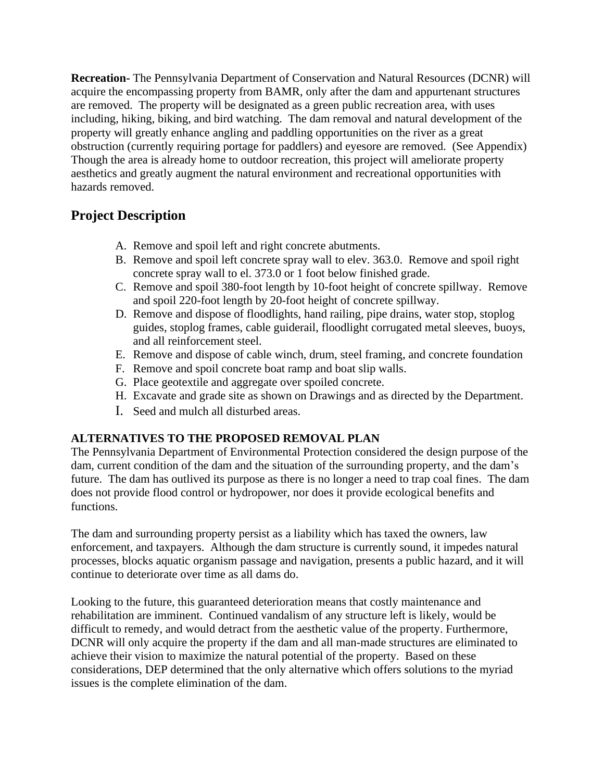**Recreation-** The Pennsylvania Department of Conservation and Natural Resources (DCNR) will acquire the encompassing property from BAMR, only after the dam and appurtenant structures are removed. The property will be designated as a green public recreation area, with uses including, hiking, biking, and bird watching. The dam removal and natural development of the property will greatly enhance angling and paddling opportunities on the river as a great obstruction (currently requiring portage for paddlers) and eyesore are removed. (See Appendix) Though the area is already home to outdoor recreation, this project will ameliorate property aesthetics and greatly augment the natural environment and recreational opportunities with hazards removed.

## **Project Description**

- A. Remove and spoil left and right concrete abutments.
- B. Remove and spoil left concrete spray wall to elev. 363.0. Remove and spoil right concrete spray wall to el. 373.0 or 1 foot below finished grade.
- C. Remove and spoil 380-foot length by 10-foot height of concrete spillway. Remove and spoil 220-foot length by 20-foot height of concrete spillway.
- D. Remove and dispose of floodlights, hand railing, pipe drains, water stop, stoplog guides, stoplog frames, cable guiderail, floodlight corrugated metal sleeves, buoys, and all reinforcement steel.
- E. Remove and dispose of cable winch, drum, steel framing, and concrete foundation
- F. Remove and spoil concrete boat ramp and boat slip walls.
- G. Place geotextile and aggregate over spoiled concrete.
- H. Excavate and grade site as shown on Drawings and as directed by the Department.
- I. Seed and mulch all disturbed areas.

#### **ALTERNATIVES TO THE PROPOSED REMOVAL PLAN**

The Pennsylvania Department of Environmental Protection considered the design purpose of the dam, current condition of the dam and the situation of the surrounding property, and the dam's future. The dam has outlived its purpose as there is no longer a need to trap coal fines. The dam does not provide flood control or hydropower, nor does it provide ecological benefits and functions.

The dam and surrounding property persist as a liability which has taxed the owners, law enforcement, and taxpayers. Although the dam structure is currently sound, it impedes natural processes, blocks aquatic organism passage and navigation, presents a public hazard, and it will continue to deteriorate over time as all dams do.

Looking to the future, this guaranteed deterioration means that costly maintenance and rehabilitation are imminent. Continued vandalism of any structure left is likely, would be difficult to remedy, and would detract from the aesthetic value of the property. Furthermore, DCNR will only acquire the property if the dam and all man-made structures are eliminated to achieve their vision to maximize the natural potential of the property. Based on these considerations, DEP determined that the only alternative which offers solutions to the myriad issues is the complete elimination of the dam.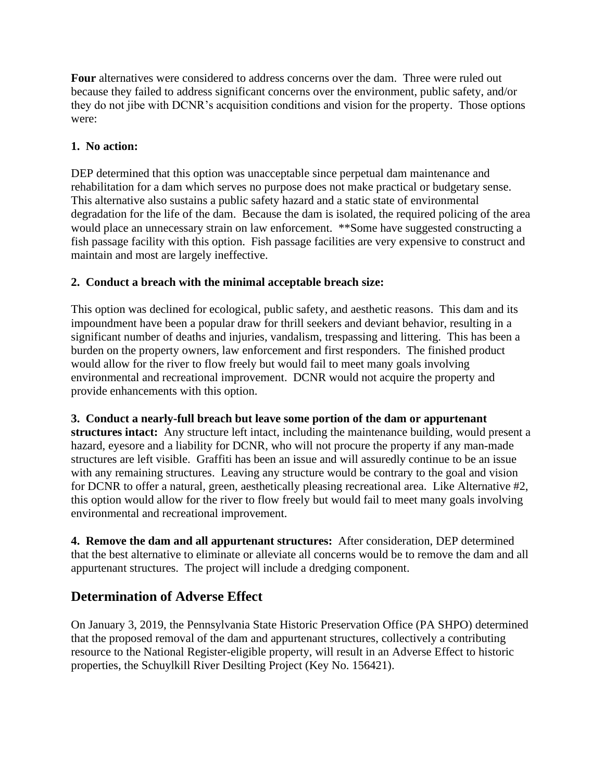**Four** alternatives were considered to address concerns over the dam. Three were ruled out because they failed to address significant concerns over the environment, public safety, and/or they do not jibe with DCNR's acquisition conditions and vision for the property. Those options were:

#### **1. No action:**

DEP determined that this option was unacceptable since perpetual dam maintenance and rehabilitation for a dam which serves no purpose does not make practical or budgetary sense. This alternative also sustains a public safety hazard and a static state of environmental degradation for the life of the dam. Because the dam is isolated, the required policing of the area would place an unnecessary strain on law enforcement. \*\*Some have suggested constructing a fish passage facility with this option. Fish passage facilities are very expensive to construct and maintain and most are largely ineffective.

### **2. Conduct a breach with the minimal acceptable breach size:**

This option was declined for ecological, public safety, and aesthetic reasons. This dam and its impoundment have been a popular draw for thrill seekers and deviant behavior, resulting in a significant number of deaths and injuries, vandalism, trespassing and littering. This has been a burden on the property owners, law enforcement and first responders. The finished product would allow for the river to flow freely but would fail to meet many goals involving environmental and recreational improvement. DCNR would not acquire the property and provide enhancements with this option.

**3. Conduct a nearly-full breach but leave some portion of the dam or appurtenant structures intact:** Any structure left intact, including the maintenance building, would present a hazard, eyesore and a liability for DCNR, who will not procure the property if any man-made structures are left visible. Graffiti has been an issue and will assuredly continue to be an issue with any remaining structures. Leaving any structure would be contrary to the goal and vision for DCNR to offer a natural, green, aesthetically pleasing recreational area. Like Alternative #2, this option would allow for the river to flow freely but would fail to meet many goals involving environmental and recreational improvement.

**4. Remove the dam and all appurtenant structures:** After consideration, DEP determined that the best alternative to eliminate or alleviate all concerns would be to remove the dam and all appurtenant structures. The project will include a dredging component.

## **Determination of Adverse Effect**

On January 3, 2019, the Pennsylvania State Historic Preservation Office (PA SHPO) determined that the proposed removal of the dam and appurtenant structures, collectively a contributing resource to the National Register-eligible property, will result in an Adverse Effect to historic properties, the Schuylkill River Desilting Project (Key No. 156421).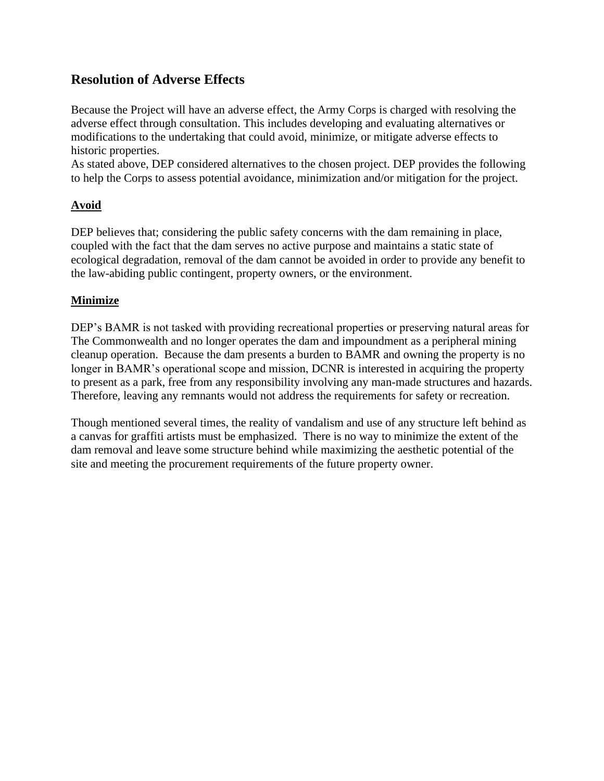## **Resolution of Adverse Effects**

Because the Project will have an adverse effect, the Army Corps is charged with resolving the adverse effect through consultation. This includes developing and evaluating alternatives or modifications to the undertaking that could avoid, minimize, or mitigate adverse effects to historic properties.

As stated above, DEP considered alternatives to the chosen project. DEP provides the following to help the Corps to assess potential avoidance, minimization and/or mitigation for the project.

### **Avoid**

DEP believes that; considering the public safety concerns with the dam remaining in place, coupled with the fact that the dam serves no active purpose and maintains a static state of ecological degradation, removal of the dam cannot be avoided in order to provide any benefit to the law-abiding public contingent, property owners, or the environment.

### **Minimize**

DEP's BAMR is not tasked with providing recreational properties or preserving natural areas for The Commonwealth and no longer operates the dam and impoundment as a peripheral mining cleanup operation. Because the dam presents a burden to BAMR and owning the property is no longer in BAMR's operational scope and mission, DCNR is interested in acquiring the property to present as a park, free from any responsibility involving any man-made structures and hazards. Therefore, leaving any remnants would not address the requirements for safety or recreation.

Though mentioned several times, the reality of vandalism and use of any structure left behind as a canvas for graffiti artists must be emphasized. There is no way to minimize the extent of the dam removal and leave some structure behind while maximizing the aesthetic potential of the site and meeting the procurement requirements of the future property owner.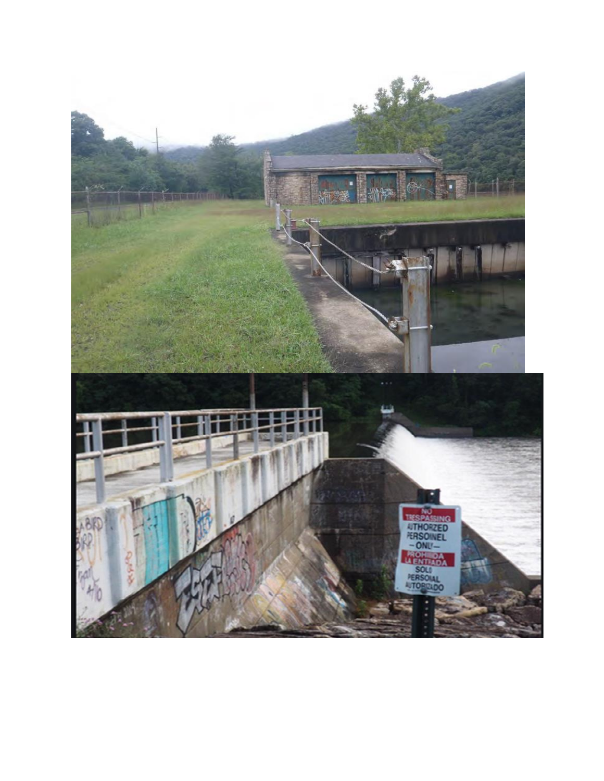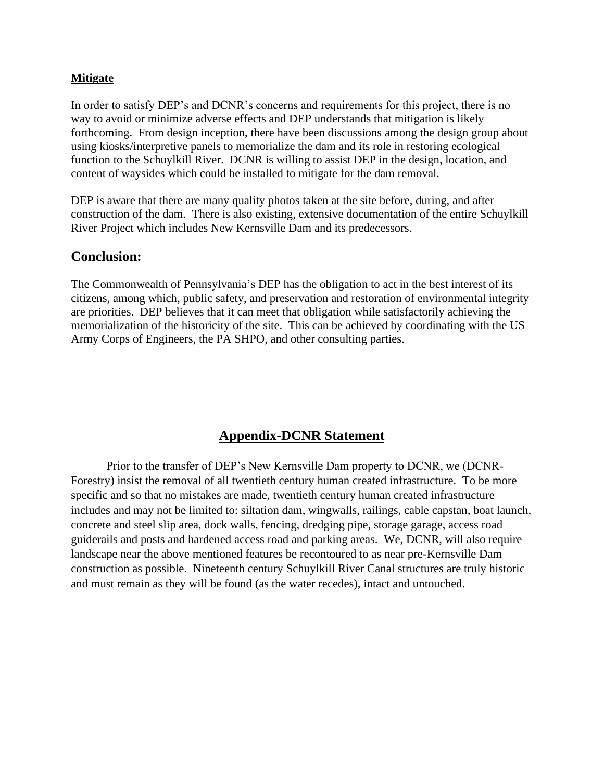#### **Mitigate**

In order to satisfy DEP's and DCNR's concerns and requirements for this project, there is no way to avoid or minimize adverse effects and DEP understands that mitigation is likely forthcoming. From design inception, there have been discussions among the design group about using kiosks/interpretive panels to memorialize the dam and its role in restoring ecological function to the Schuylkill River. DCNR is willing to assist DEP in the design, location, and content of waysides which could be installed to mitigate for the dam removal.

DEP is aware that there are many quality photos taken at the site before, during, and after construction of the dam. There is also existing, extensive documentation of the entire Schuylkill River Project which includes New Kernsville Dam and its predecessors.

### **Conclusion:**

The Commonwealth of Pennsylvania's DEP has the obligation to act in the best interest of its citizens, among which, public safety, and preservation and restoration of environmental integrity are priorities. DEP believes that it can meet that obligation while satisfactorily achieving the memorialization of the historicity of the site. This can be achieved by coordinating with the US Army Corps of Engineers, the PA SHPO, and other consulting parties.

## **Appendix-DCNR Statement**

Prior to the transfer of DEP's New Kernsville Dam property to DCNR, we (DCNR-Forestry) insist the removal of all twentieth century human created infrastructure. To be more specific and so that no mistakes are made, twentieth century human created infrastructure includes and may not be limited to: siltation dam, wingwalls, railings, cable capstan, boat launch, concrete and steel slip area, dock walls, fencing, dredging pipe, storage garage, access road guiderails and posts and hardened access road and parking areas. We, DCNR, will also require landscape near the above mentioned features be recontoured to as near pre-Kernsville Dam construction as possible. Nineteenth century Schuylkill River Canal structures are truly historic and must remain as they will be found (as the water recedes), intact and untouched.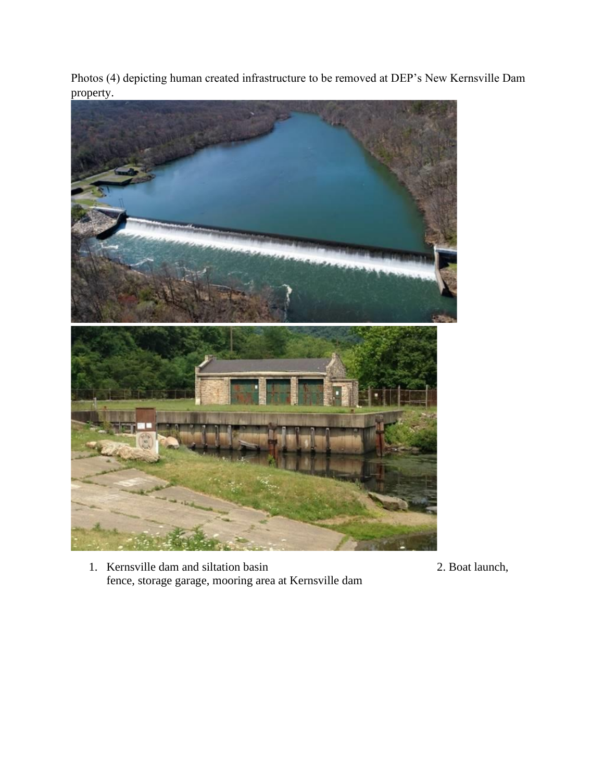Photos (4) depicting human created infrastructure to be removed at DEP's New Kernsville Dam property.



1. Kernsville dam and siltation basin 2. Boat launch, fence, storage garage, mooring area at Kernsville dam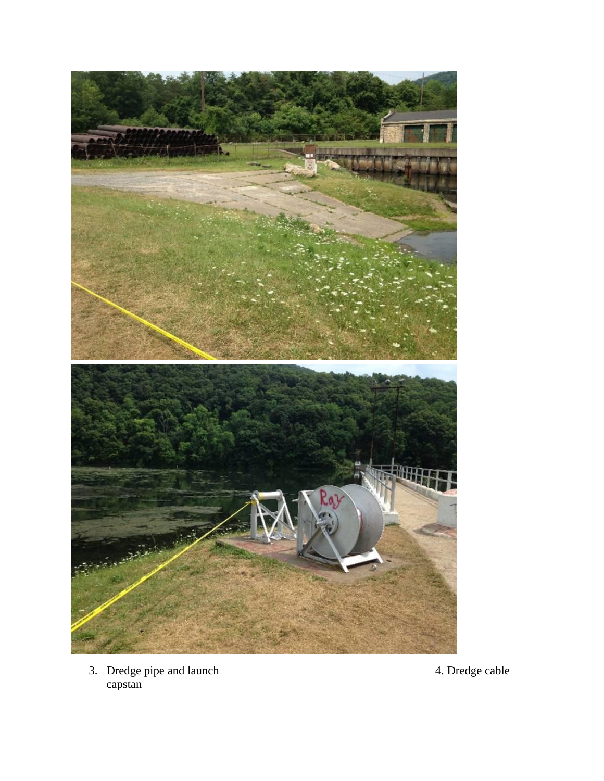

3. Dredge pipe and launch 4. Dredge cable capstan